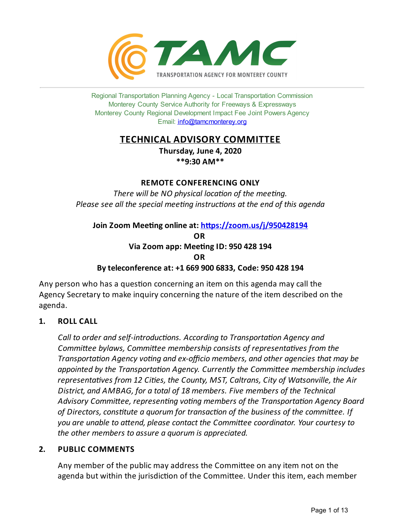

Regional Transportation Planning Agency - Local Transportation Commission Monterey County Service Authority for Freeways & Expressways Monterey County Regional Development Impact Fee Joint Powers Agency Email: <info@tamcmonterey.org>

# **TECHNICAL ADVISORY COMMITTEE**

**Thursday, June 4, 2020 \*\*9:30 AM\*\***

# **REMOTE CONFERENCING ONLY**

*There* will be NO physical location of the meeting. *Please see* all the *special* meeting *instructions* at the end of this agenda

**Join Zoom Meeting online at: https://zoom.us/j/950428194 OR Via Zoom app: Meeting ID: 950 428 194 OR Byteleconference at: +1 669 900 6833, Code: 950 428 194**

Any person who has a question concerning an item on this agenda may call the Agency Secretary to make inquiry concerning the nature of the item described on the agenda.

# **1. ROLL CALL**

*Call* to *order* and *self-introductions. According* to *Transportation Agency and Committee bylaws, Committee membership consists of representatives from the Transportation Agency voting* and *ex-officio members, and other agencies that may be appointed* by the *Transportation Agency. Currently the Committee membership includes representaves from 12 Cies, the County, MST, Caltrans, City of Watsonville, the Air District, and AMBAG, for a total of 18 members. Five members of the Technical* Advisory Committee, representing voting members of the Transportation Agency Board *of Directors,constute a quorum for transacon of the business of the commiee. If you* are unable to attend, please contact the Committee coordinator. Your courtesy to *the other members to assure a quorum is appreciated.*

# **2. PUBLIC COMMENTS**

Any member of the public may address the Committee on any item not on the agenda but within the jurisdiction of the Committee. Under this item, each member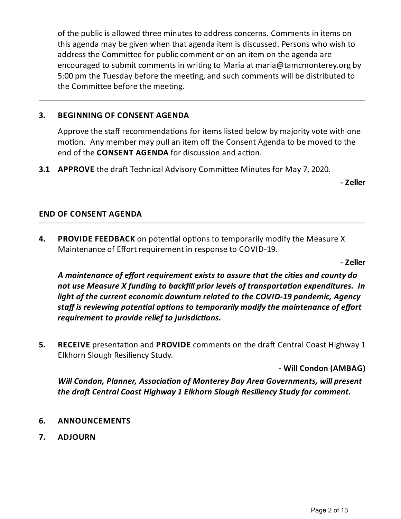of the public is allowed three minutes to address concerns. Comments in items on this agenda may be given when that agenda item is discussed. Persons who wish to address the Committee for public comment or on an item on the agenda are encouraged to submit comments in writing to Maria at maria@tamcmonterey.org by 5:00 pm the Tuesday before the meeting, and such comments will be distributed to the Committee before the meeting.

# **3. BEGINNING OF CONSENT AGENDA**

Approve the staff recommendations for items listed below by majority vote with one motion. Any member may pull an item off the Consent Agenda to be moved to the end of the **CONSENT AGENDA** for discussion and action.

**3.1 APPROVE** the draft Technical Advisory Committee Minutes for May 7, 2020.

**- Zeller**

# **END OF CONSENT AGENDA**

**4. PROVIDE FEEDBACK** on potential options to temporarily modify the Measure X Maintenance of Effort requirement in response to COVID-19.

**- Zeller**

*A maintenance ofeffort requirementexists to assurethat thecies and county do not use Measure X funding to backfill prior levels of transportaon expenditures. In light of thecurrenteconomic downturn related to the COVID-19 pandemic, Agency staff* is reviewing potential options to temporarily modify the maintenance of effort *requirement to provide relief to jurisdictions.* 

**5. RECEIVE** presentation and **PROVIDE** comments on the draft Central Coast Highway 1 Elkhorn Slough Resiliency Study.

**- Will Condon (AMBAG)**

*Will* Condon, Planner, Association of Monterey Bay Area Governments, will present *the dra/ Central Coast Highway 1 Elkhorn Slough ResiliencyStudyfor comment.*

- **6. ANNOUNCEMENTS**
- **7. ADJOURN**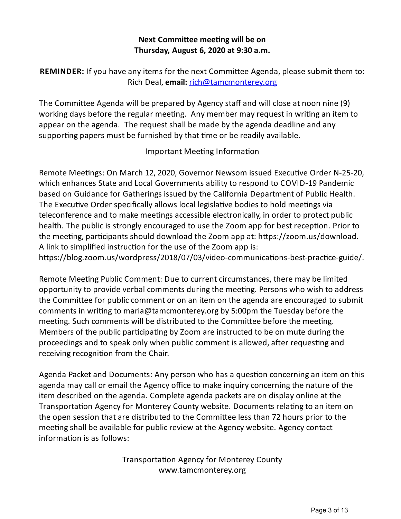# **Next Committee meeting will be on Thursday, August 6, 2020 at 9:30 a.m.**

**REMINDER:** If you have any items for the next Committee Agenda, please submit them to: Rich Deal, **email:** [rich@tamcmonterey.org](mailto:rich@tamcmonterey.org)

The Committee Agenda will be prepared by Agency staff and will close at noon nine (9) working days before the regular meeting. Any member may request in writing an item to appear on the agenda. The request shall be made by the agenda deadline and any supporting papers must be furnished by that time or be readily available.

# Important Meeting Information

Remote Meetings: On March 12, 2020, Governor Newsom issued Executive Order N-25-20, which enhances State and Local Governments ability to respond to COVID-19 Pandemic based on Guidance for Gatherings issued by the California Department of Public Health. The Executive Order specifically allows local legislative bodies to hold meetings via teleconference and to make meetings accessible electronically, in order to protect public health. The public is strongly encouraged to use the Zoom app for best reception. Prior to the meeting, participants should download the Zoom app at: https://zoom.us/download. A link to simplified instruction for the use of the Zoom app is: https://blog.zoom.us/wordpress/2018/07/03/video-communications-best-practice-guide/.

Remote Meeting Public Comment: Due to current circumstances, there may be limited opportunity to provide verbal comments during the meeting. Persons who wish to address the Committee for public comment or on an item on the agenda are encouraged to submit comments in writing to maria@tamcmonterey.org by 5:00pm the Tuesday before the meeting. Such comments will be distributed to the Committee before the meeting. Members of the public participating by Zoom are instructed to be on mute during the proceedings and to speak only when public comment is allowed, after requesting and receiving recognition from the Chair.

Agenda Packet and Documents: Any person who has a question concerning an item on this agenda may call or email the Agency office to make inquiry concerning the nature of the item described on the agenda. Complete agenda packets are on display online at the Transportation Agency for Monterey County website. Documents relating to an item on the open session that are distributed to the Committee less than 72 hours prior to the meeting shall be available for public review at the Agency website. Agency contact  $information$  is as follows:

> Transportation Agency for Monterey County www.tamcmonterey.org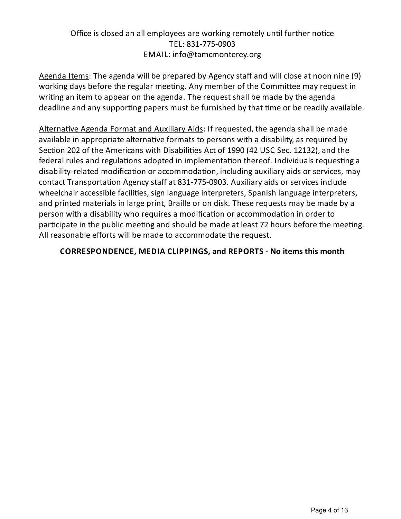# Office is closed an all employees are working remotely until further notice TEL: 831-775-0903 EMAIL: info@tamcmonterey.org

Agenda Items: The agenda will be prepared by Agency staff and will close at noon nine (9) working days before the regular meeting. Any member of the Committee may request in writing an item to appear on the agenda. The request shall be made by the agenda deadline and any supporting papers must be furnished by that time or be readily available.

Alternative Agenda Format and Auxiliary Aids: If requested, the agenda shall be made available in appropriate alternative formats to persons with a disability, as required by Section 202 of the Americans with Disabilities Act of 1990 (42 USC Sec. 12132), and the federal rules and regulations adopted in implementation thereof. Individuals requesting a disability-related modification or accommodation, including auxiliary aids or services, may contact Transportation Agency staff at 831-775-0903. Auxiliary aids or services include wheelchair accessible facilities, sign language interpreters, Spanish language interpreters, and printed materials in large print, Braille or on disk. These requests may be made bya person with a disability who requires a modification or accommodation in order to participate in the public meeting and should be made at least 72 hours before the meeting. All reasonable efforts will be made to accommodate the request.

# **CORRESPONDENCE, MEDIA CLIPPINGS, and REPORTS - No items this month**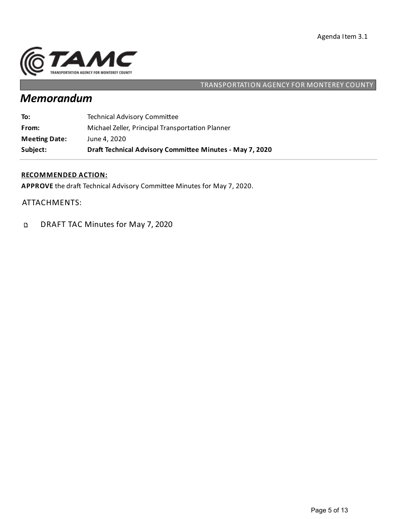

# TRANSPORTATION AGENCY FOR MONTEREY COUNTY

# *Memorandum*

| Subject:             | Draft Technical Advisory Committee Minutes - May 7, 2020 |
|----------------------|----------------------------------------------------------|
| <b>Meeting Date:</b> | June 4, 2020                                             |
| From:                | Michael Zeller, Principal Transportation Planner         |
| To:                  | <b>Technical Advisory Committee</b>                      |

## **RECOMMENDED ACTION:**

APPROVE the draft Technical Advisory Committee Minutes for May 7, 2020.

ATTACHMENTS:

DRAFT TAC Minutes for May 7, 2020  $\mathbf{D}$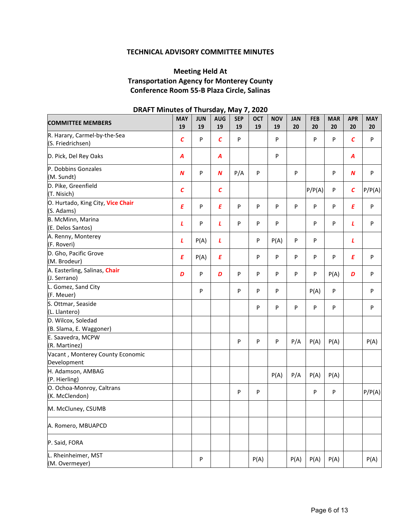## **TECHNICAL ADVISORY COMMITTEE MINUTES**

# **Meeting Held At Transportation Agency for Monterey County Conference Room 55-B Plaza Circle, Salinas**

| <b>COMMITTEE MEMBERS</b>                          | <b>MAY</b><br>19 | <b>JUN</b><br>19 | ,,<br><b>AUG</b><br>19 | <b>SEP</b><br>19 | <b>OCT</b><br>19 | <b>NOV</b><br>19 | <b>JAN</b><br>20 | <b>FEB</b><br>20 | <b>MAR</b><br>20 | <b>APR</b><br>20 | <b>MAY</b><br>20 |
|---------------------------------------------------|------------------|------------------|------------------------|------------------|------------------|------------------|------------------|------------------|------------------|------------------|------------------|
| R. Harary, Carmel-by-the-Sea<br>(S. Friedrichsen) | $\mathcal{C}$    | P                | $\mathcal{C}_{0}$      | P                |                  | $\mathsf{P}$     |                  | P                | P                | $\mathcal{C}$    | P                |
| D. Pick, Del Rey Oaks                             | A                |                  | A                      |                  |                  | ${\sf P}$        |                  |                  |                  | A                |                  |
| P. Dobbins Gonzales<br>(M. Sundt)                 | $\boldsymbol{N}$ | P                | $\boldsymbol{N}$       | P/A              | P                |                  | P                |                  | P                | $\boldsymbol{N}$ | P                |
| D. Pike, Greenfield<br>(T. Nisich)                | $\mathcal{C}$    |                  | $\mathcal{C}_{0}$      |                  |                  |                  |                  | P/P(A)           | P                | $\pmb{C}$        | P/P(A)           |
| O. Hurtado, King City, Vice Chair<br>(S. Adams)   | E                | P                | E                      | P                | P                | P                | P                | P                | P                | E                | P                |
| B. McMinn, Marina<br>(E. Delos Santos)            | L                | P                | L                      | P                | P                | P                |                  | P                | P                | L                | P                |
| A. Renny, Monterey<br>(F. Roveri)                 | L                | P(A)             | L                      |                  | ${\sf P}$        | P(A)             | ${\sf P}$        | P                |                  | L                |                  |
| D. Gho, Pacific Grove<br>(M. Brodeur)             | E                | P(A)             | E                      |                  | P                | P                | P                | P                | P                | E                | P                |
| A. Easterling, Salinas, Chair<br>(J. Serrano)     | D                | P                | D                      | P                | P                | $\mathsf{P}$     | P                | P                | P(A)             | D                | P                |
| L. Gomez, Sand City<br>(F. Meuer)                 |                  | P                |                        | P                | P                | P                |                  | P(A)             | P                |                  | P                |
| S. Ottmar, Seaside<br>(L. Llantero)               |                  |                  |                        |                  | P                | P                | P                | P                | P                |                  | P                |
| D. Wilcox, Soledad<br>(B. Slama, E. Waggoner)     |                  |                  |                        |                  |                  |                  |                  |                  |                  |                  |                  |
| E. Saavedra, MCPW<br>(R. Martinez)                |                  |                  |                        | P                | P                | P                | P/A              | P(A)             | P(A)             |                  | P(A)             |
| Vacant, Monterey County Economic<br>Development   |                  |                  |                        |                  |                  |                  |                  |                  |                  |                  |                  |
| H. Adamson, AMBAG<br>(P. Hierling)                |                  |                  |                        |                  |                  | P(A)             | P/A              | P(A)             | P(A)             |                  |                  |
| O. Ochoa-Monroy, Caltrans<br>(K. McClendon)       |                  |                  |                        | P                | P                |                  |                  | P                | P                |                  | P/P(A)           |
| M. McCluney, CSUMB                                |                  |                  |                        |                  |                  |                  |                  |                  |                  |                  |                  |
| A. Romero, MBUAPCD                                |                  |                  |                        |                  |                  |                  |                  |                  |                  |                  |                  |
| P. Said, FORA                                     |                  |                  |                        |                  |                  |                  |                  |                  |                  |                  |                  |
| L. Rheinheimer, MST<br>(M. Overmeyer)             |                  | P                |                        |                  | P(A)             |                  | P(A)             | P(A)             | P(A)             |                  | P(A)             |

### **DRAFT Minutes of Thursday, May 7, 2020**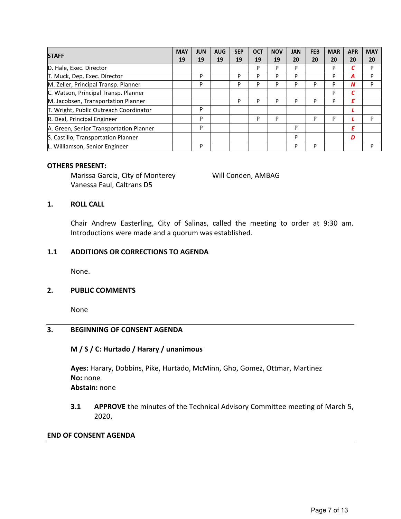| <b>STAFF</b>                            | <b>MAY</b> | <b>JUN</b> | <b>AUG</b> | <b>SEP</b> | <b>OCT</b> | <b>NOV</b> | <b>JAN</b> | <b>FEB</b> | <b>MAR</b> | <b>APR</b> | <b>MAY</b> |
|-----------------------------------------|------------|------------|------------|------------|------------|------------|------------|------------|------------|------------|------------|
|                                         | 19         | 19         | 19         | 19         | 19         | 19         | 20         | 20         | 20         | 20         | 20         |
| D. Hale, Exec. Director                 |            |            |            |            | P          | P          | P          |            | P          |            | P          |
| T. Muck, Dep. Exec. Director            |            | P          |            | P          | P          | P          | P          |            | P          | Α          | P          |
| M. Zeller, Principal Transp. Planner    |            | P          |            | P          | P          | P          | P          | D          | P          | N          | P          |
| C. Watson, Principal Transp. Planner    |            |            |            |            |            |            |            |            | P          |            |            |
| M. Jacobsen, Transportation Planner     |            |            |            | P          | P          | P          | P          | D          | P          | Ε          |            |
| T. Wright, Public Outreach Coordinator  |            | P          |            |            |            |            |            |            |            |            |            |
| R. Deal, Principal Engineer             |            | P          |            |            | P          | P          |            | P          | P          |            | P          |
| A. Green, Senior Transportation Planner |            | P          |            |            |            |            | P          |            |            | Ε          |            |
| S. Castillo, Transportation Planner     |            |            |            |            |            |            | P          |            |            | D          |            |
| L. Williamson, Senior Engineer          |            | P          |            |            |            |            | P          | P          |            |            | P          |

#### **OTHERS PRESENT:**

Marissa Garcia, City of Monterey Will Conden, AMBAG Vanessa Faul, Caltrans D5

#### **1. ROLL CALL**

Chair Andrew Easterling, City of Salinas, called the meeting to order at 9:30 am. Introductions were made and a quorum was established.

#### **1.1 ADDITIONS OR CORRECTIONS TO AGENDA**

None.

#### **2. PUBLIC COMMENTS**

None

### **3. BEGINNING OF CONSENT AGENDA**

#### **M / S / C: Hurtado / Harary / unanimous**

**Ayes:** Harary, Dobbins, Pike, Hurtado, McMinn, Gho, Gomez, Ottmar, Martinez **No:** none **Abstain:** none

**3.1 APPROVE** the minutes of the Technical Advisory Committee meeting of March 5, 2020.

#### **END OF CONSENT AGENDA**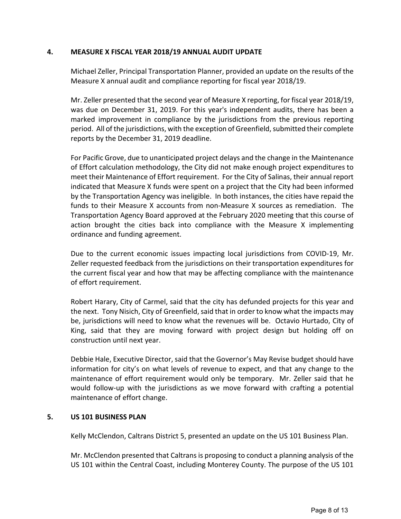### **4. MEASURE X FISCAL YEAR 2018/19 ANNUAL AUDIT UPDATE**

Michael Zeller, Principal Transportation Planner, provided an update on the results of the Measure X annual audit and compliance reporting for fiscal year 2018/19.

Mr. Zeller presented that the second year of Measure X reporting, for fiscal year 2018/19, was due on December 31, 2019. For this year's independent audits, there has been a marked improvement in compliance by the jurisdictions from the previous reporting period. All of the jurisdictions, with the exception of Greenfield, submitted their complete reports by the December 31, 2019 deadline.

For Pacific Grove, due to unanticipated project delays and the change in the Maintenance of Effort calculation methodology, the City did not make enough project expenditures to meet their Maintenance of Effort requirement. For the City of Salinas, their annual report indicated that Measure X funds were spent on a project that the City had been informed by the Transportation Agency was ineligible. In both instances, the cities have repaid the funds to their Measure X accounts from non-Measure X sources as remediation. The Transportation Agency Board approved at the February 2020 meeting that this course of action brought the cities back into compliance with the Measure X implementing ordinance and funding agreement.

Due to the current economic issues impacting local jurisdictions from COVID-19, Mr. Zeller requested feedback from the jurisdictions on their transportation expenditures for the current fiscal year and how that may be affecting compliance with the maintenance of effort requirement.

Robert Harary, City of Carmel, said that the city has defunded projects for this year and the next. Tony Nisich, City of Greenfield, said that in order to know what the impacts may be, jurisdictions will need to know what the revenues will be. Octavio Hurtado, City of King, said that they are moving forward with project design but holding off on construction until next year.

Debbie Hale, Executive Director, said that the Governor's May Revise budget should have information for city's on what levels of revenue to expect, and that any change to the maintenance of effort requirement would only be temporary. Mr. Zeller said that he would follow-up with the jurisdictions as we move forward with crafting a potential maintenance of effort change.

## **5. US 101 BUSINESS PLAN**

Kelly McClendon, Caltrans District 5, presented an update on the US 101 Business Plan.

Mr. McClendon presented that Caltrans is proposing to conduct a planning analysis of the US 101 within the Central Coast, including Monterey County. The purpose of the US 101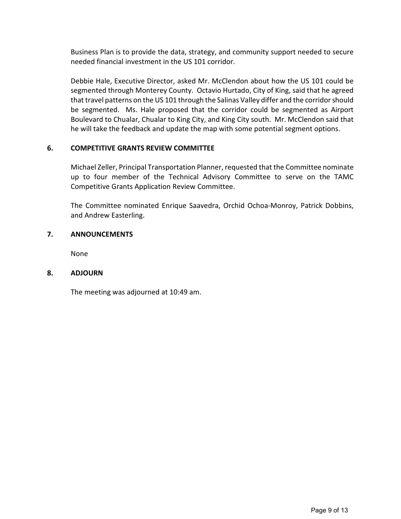Business Plan is to provide the data, strategy, and community support needed to secure needed financial investment in the US 101 corridor.

Debbie Hale, Executive Director, asked Mr. McClendon about how the US 101 could be segmented through Monterey County. Octavio Hurtado, City of King, said that he agreed that travel patterns on the US 101 through the Salinas Valley differ and the corridor should be segmented. Ms. Hale proposed that the corridor could be segmented as Airport Boulevard to Chualar, Chualar to King City, and King City south. Mr. McClendon said that he will take the feedback and update the map with some potential segment options.

## **6. COMPETITIVE GRANTS REVIEW COMMITTEE**

Michael Zeller, Principal Transportation Planner, requested that the Committee nominate up to four member of the Technical Advisory Committee to serve on the TAMC Competitive Grants Application Review Committee.

The Committee nominated Enrique Saavedra, Orchid Ochoa-Monroy, Patrick Dobbins, and Andrew Easterling.

## **7. ANNOUNCEMENTS**

None

### **8. ADJOURN**

The meeting was adjourned at 10:49 am.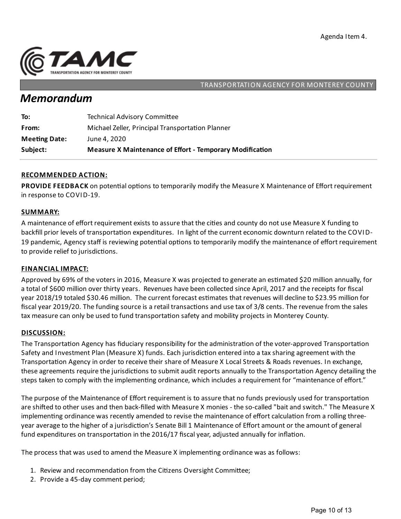

### TRANSPORTATION AGENCY FOR MONTEREY COUNTY

# *Memorandum*

| Subject:             | <b>Measure X Maintenance of Effort - Temporary Modification</b> |
|----------------------|-----------------------------------------------------------------|
| <b>Meeting Date:</b> | June 4, 2020                                                    |
| From:                | Michael Zeller, Principal Transportation Planner                |
| To:                  | <b>Technical Advisory Committee</b>                             |

### **RECOMMENDED ACTION:**

PROVIDE FEEDBACK on potential options to temporarily modify the Measure X Maintenance of Effort requirement in response to COVID-19.

#### **SUMMARY:**

A maintenance of effort requirement exists to assure that the cities and county do not use Measure X funding to backfill prior levels of transportation expenditures. In light of the current economic downturn related to the COVID-19 pandemic, Agency staff is reviewing potential options to temporarily modify the maintenance of effort requirement to provide relief to jurisdictions.

#### **FINANCIAL IMPACT:**

Approved by 69% of the voters in 2016, Measure X was projected to generate an estimated \$20 million annually, for a total of \$600 million over thirty years. Revenues have been collected since April, 2017 and the receipts for fiscal year 2018/19 totaled \$30.46 million. The current forecast estimates that revenues will decline to \$23.95 million for fiscal year 2019/20. The funding source is a retail transactions and use tax of 3/8 cents. The revenue from the sales tax measure can only be used to fund transportation safety and mobility projects in Monterey County.

#### **DISCUSSION:**

The Transportation Agency has fiduciary responsibility for the administration of the voter-approved Transportation Safety and Investment Plan (Measure X) funds. Each jurisdiction entered into a tax sharing agreement with the Transportation Agency in order to receive their share of Measure X Local Streets & Roads revenues. In exchange, these agreements require the jurisdictions to submit audit reports annually to the Transportation Agency detailing the steps taken to comply with the implementing ordinance, which includes a requirement for "maintenance of effort."

The purpose of the Maintenance of Effort requirement is to assure that no funds previously used for transportation are shifted to other uses and then back-filled with Measure X monies - the so-called "bait and switch." The Measure X implementing ordinance was recently amended to revise the maintenance of effort calculation from a rolling threeyear average to the higher of a jurisdiction's Senate Bill 1 Maintenance of Effort amount or the amount of general fund expenditures on transportation in the 2016/17 fiscal year, adjusted annually for inflation.

The process that was used to amend the Measure X implementing ordinance was as follows:

- 1. Review and recommendation from the Citizens Oversight Committee;
- 2. Provide a 45-day comment period;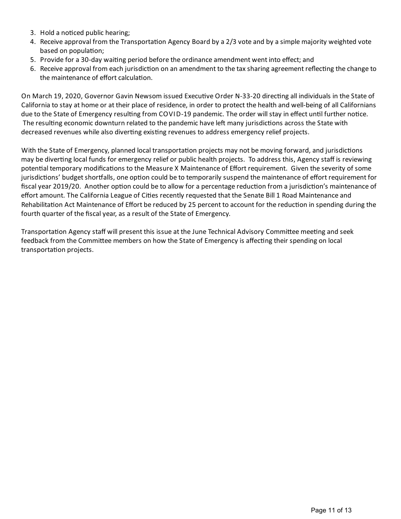- 3. Hold a noticed public hearing;
- 4. Receive approval from the Transportation Agency Board by a 2/3 vote and by a simple majority weighted vote based on population;
- 5. Provide for a 30-day waiting period before the ordinance amendment went into effect; and
- 6. Receive approval from each jurisdiction on an amendment to the tax sharing agreement reflecting the change to the maintenance of effort calculation.

On March 19, 2020, Governor Gavin Newsom issued Executive Order N-33-20 directing all individuals in the State of California to stay at home or at their place of residence, in order to protect the health and well-being of all Californians due to the State of Emergency resulting from COVID-19 pandemic. The order will stay in effect until further notice. The resulting economic downturn related to the pandemic have left many jurisdictions across the State with decreased revenues while also diverting existing revenues to address emergency relief projects.

With the State of Emergency, planned local transportation projects may not be moving forward, and jurisdictions may be diverting local funds for emergency relief or public health projects. To address this, Agency staff is reviewing potential temporary modifications to the Measure X Maintenance of Effort requirement. Given the severity of some jurisdictions' budget shortfalls, one option could be to temporarily suspend the maintenance of effort requirement for fiscal year 2019/20. Another option could be to allow for a percentage reduction from a jurisdiction's maintenance of effort amount. The California League of Cities recently requested that the Senate Bill 1 Road Maintenance and Rehabilitation Act Maintenance of Effort be reduced by 25 percent to account for the reduction in spending during the fourth quarter of the fiscal year, as a result of the State of Emergency.

Transportation Agency staff will present this issue at the June Technical Advisory Committee meeting and seek feedback from the Committee members on how the State of Emergency is affecting their spending on local transportation projects.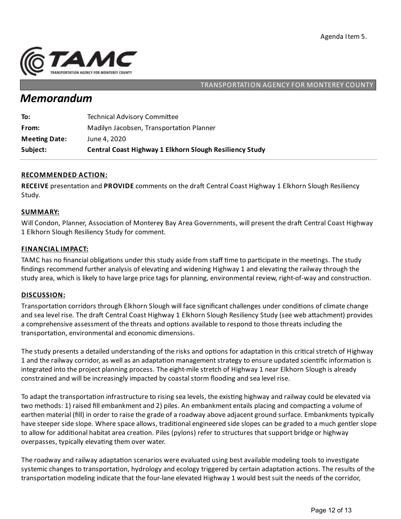

### TRANSPORTATION AGENCY FOR MONTEREY COUNTY

# *Memorandum*

| Subject:             | <b>Central Coast Highway 1 Elkhorn Slough Resiliency Study</b> |
|----------------------|----------------------------------------------------------------|
| <b>Meeting Date:</b> | June 4, 2020                                                   |
| From:                | Madilyn Jacobsen, Transportation Planner                       |
| To:                  | <b>Technical Advisory Committee</b>                            |

## **RECOMMENDED ACTION:**

**RECEIVE** presentation and **PROVIDE** comments on the draft Central Coast Highway 1 Elkhorn Slough Resiliency Study.

### **SUMMARY:**

Will Condon, Planner, Association of Monterey Bay Area Governments, will present the draft Central Coast Highway 1 Elkhorn Slough Resiliency Study for comment.

#### **FINANCIAL IMPACT:**

TAMC has no financial obligations under this study aside from staff time to participate in the meetings. The study findings recommend further analysis of elevating and widening Highway 1 and elevating the railway through the study area, which is likely to have large price tags for planning, environmental review, right-of-way and construction.

#### **DISCUSSION:**

Transportation corridors through Elkhorn Slough will face significant challenges under conditions of climate change and sea level rise. The draft Central Coast Highway 1 Elkhorn Slough Resiliency Study (see web attachment) provides a comprehensive assessment of the threats and options available to respond to those threats including the transportation, environmental and economic dimensions.

The study presents a detailed understanding of the risks and options for adaptation in this critical stretch of Highway 1 and the railway corridor, as well as an adaptation management strategy to ensure updated scientific information is integrated into the project planning process. The eight-mile stretch of Highway 1 near Elkhorn Slough is already constrained and will be increasingly impacted by coastal storm flooding and sea level rise.

To adapt the transportation infrastructure to rising sea levels, the existing highway and railway could be elevated via two methods: 1) raised fill embankment and 2) piles. An embankment entails placing and compacting a volume of earthen material (fill) in order to raise the grade of a roadway above adjacent ground surface. Embankments typically have steeper side slope. Where space allows, traditional engineered side slopes can be graded to a much gentler slope to allow for additional habitat area creation. Piles (pylons) refer to structures that support bridge or highway overpasses, typically elevating them over water.

The roadway and railway adaptation scenarios were evaluated using best available modeling tools to investigate systemic changes to transportation, hydrology and ecology triggered by certain adaptation actions. The results of the transportation modeling indicate that the four-lane elevated Highway 1 would best suit the needs of the corridor,